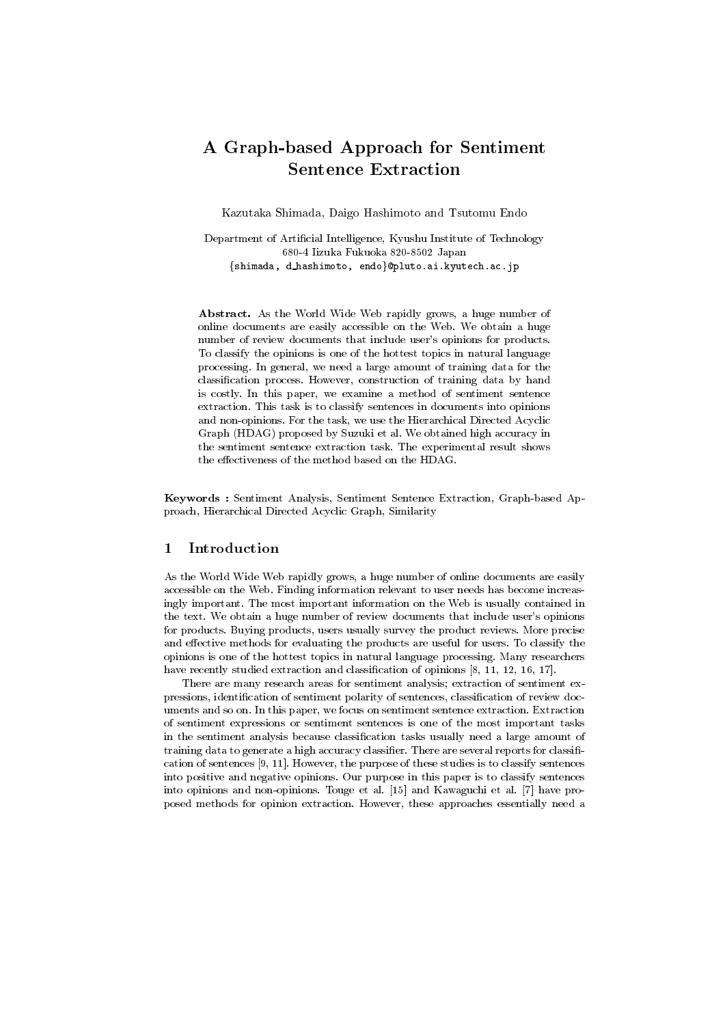# A Graph-based Approach for Sentiment **Sentence Extraction**

Kazutaka Shimada, Daigo Hashimoto and Tsutomu Endo

Department of Artificial Intelligence, Kyushu Institute of Technology 680-4 Iizuka Fukuoka 820-8502 Japan {shimada, d\_hashimoto, endo}@pluto.ai.kyutech.ac.jp

Abstract. As the World Wide Web rapidly grows, a huge number of online documents are easily accessible on the Web. We obtain a huge number of review documents that include user's opinions for products. To classify the opinions is one of the hottest topics in natural language processing. In general, we need a large amount of training data for the classification process. However, construction of training data by hand is costly. In this paper, we examine a method of sentiment sentence extraction. This task is to classify sentences in documents into opinions and non-opinions. For the task, we use the Hierarchical Directed Acyclic Graph (HDAG) proposed by Suzuki et al. We obtained high accuracy in the sentiment sentence extraction task. The experimental result shows the effectiveness of the method based on the HDAG.

Keywords : Sentiment Analysis, Sentiment Sentence Extraction, Graph-based Approach, Hierarchical Directed Acyclic Graph, Similarity

#### Introduction 1

As the World Wide Web rapidly grows, a huge number of online documents are easily accessible on the Web. Finding information relevant to user needs has become increasingly important. The most important information on the Web is usually contained in the text. We obtain a huge number of review documents that include user's opinions for products. Buying products, users usually survey the product reviews. More precise and effective methods for evaluating the products are useful for users. To classify the opinions is one of the hottest topics in natural language processing. Many researchers have recently studied extraction and classification of opinions  $[8, 11, 12, 16, 17]$ .

There are many research areas for sentiment analysis; extraction of sentiment expressions, identification of sentiment polarity of sentences, classification of review documents and so on. In this paper, we focus on sentiment sentence extraction. Extraction of sentiment expressions or sentiment sentences is one of the most important tasks in the sentiment analysis because classification tasks usually need a large amount of training data to generate a high accuracy classifier. There are several reports for classification of sentences  $[9, 11]$ . However, the purpose of these studies is to classify sentences into positive and negative opinions. Our purpose in this paper is to classify sentences into opinions and non-opinions. Touge et al. [15] and Kawaguchi et al. [7] have proposed methods for opinion extraction. However, these approaches essentially need a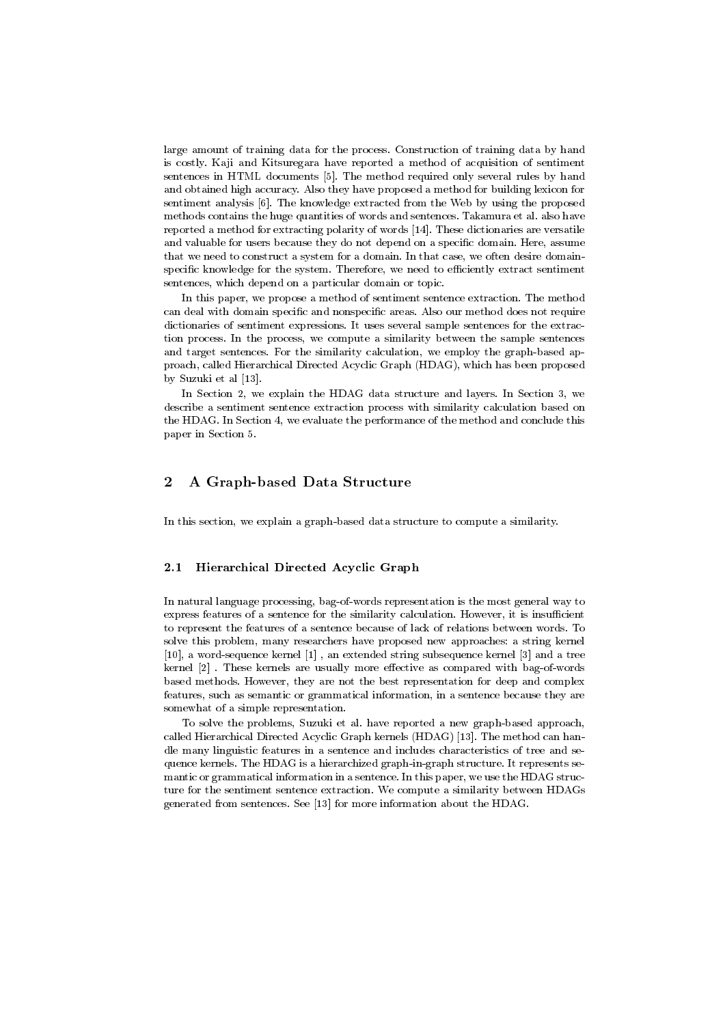large amount of training data for the process. Construction of training data by hand is costly. Kaji and Kitsuregara have reported a method of acquisition of sentiment sentences in HTML documents [5]. The method required only several rules by hand and obtained high accuracy. Also they have proposed a method for building lexicon for sentiment analysis [6]. The knowledge extracted from the Web by using the proposed methods contains the huge quantities of words and sentences. Takamura et al. also have reported a method for extracting polarity of words [14]. These dictionaries are versatile and valuable for users because they do not depend on a specific domain. Here, assume that we need to construct a system for a domain. In that case, we often desire domainspecific knowledge for the system. Therefore, we need to efficiently extract sentiment sentences, which depend on a particular domain or topic.

In this paper, we propose a method of sentiment sentence extraction. The method can deal with domain specific and nonspecific areas. Also our method does not require dictionaries of sentiment expressions. It uses several sample sentences for the extraction process. In the process, we compute a similarity between the sample sentences and target sentences. For the similarity calculation, we employ the graph-based approach, called Hierarchical Directed Acyclic Graph (HDAG), which has been proposed by Suzuki et al [13].

In Section 2, we explain the HDAG data structure and layers. In Section 3, we describe a sentiment sentence extraction process with similarity calculation based on the HDAG. In Section 4, we evaluate the performance of the method and conclude this paper in Section 5.

#### A Graph-based Data Structure  $\bf{2}$

In this section, we explain a graph-based data structure to compute a similarity.

#### $2.1$ **Hierarchical Directed Acyclic Graph**

In natural language processing, bag-of-words representation is the most general way to express features of a sentence for the similarity calculation. However, it is insufficient to represent the features of a sentence because of lack of relations between words. To solve this problem, many researchers have proposed new approaches: a string kernel  $[10]$ , a word-sequence kernel  $[1]$ , an extended string subsequence kernel  $[3]$  and a tree kernel [2]. These kernels are usually more effective as compared with bag-of-words based methods. However, they are not the best representation for deep and complex features, such as semantic or grammatical information, in a sentence because they are somewhat of a simple representation.

To solve the problems, Suzuki et al. have reported a new graph-based approach, called Hierarchical Directed Acyclic Graph kernels (HDAG) [13]. The method can handle many linguistic features in a sentence and includes characteristics of tree and sequence kernels. The HDAG is a hierarchized graph-in-graph structure. It represents semantic or grammatical information in a sentence. In this paper, we use the HDAG structure for the sentiment sentence extraction. We compute a similarity between HDAGs generated from sentences. See [13] for more information about the HDAG.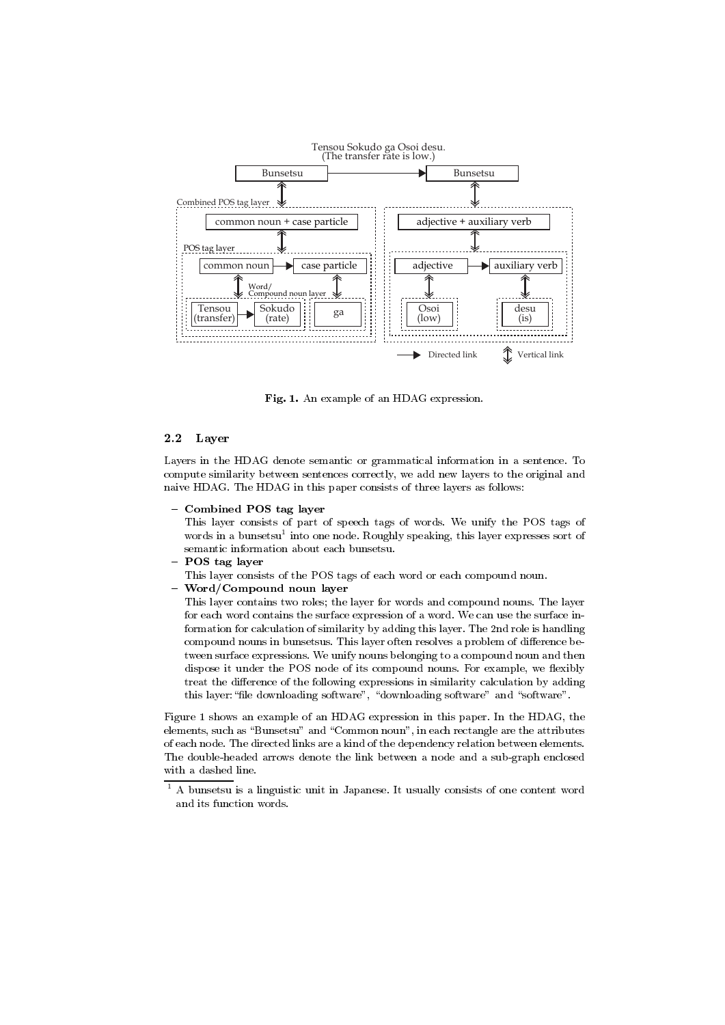

-,- +- -,- (

#### 2.2 Layer

 $\mathbf{H}$  . The state of the state of the state of the state of the state of the state of the state of the state of the state of the state of the state of the state of the state of the state of the state of the state of th compute similarity between sentences correctly, we add new layers to the original and naive HDAG. The HDAG in this paper consists of three layers as follows:

-

This layer consists of part of speech tags of words. We unify the POS tags of words in a bunsetsu tinto one node. Kougnly speaking, this layer expresses sort of

- 
- This layer consists of the PUS tags of each word or each compound noun.
- $\ldots$

This layer contains two roles; the layer for words and compound nouns. The layer for eacn word contains the surface expression of a word. We can use the surface in- $\mathcal{A} = \mathcal{A} \mathcal{A}$  . The contract of the contract of the contract of the contract of the contract of the contract of the contract of the contract of the contract of the contract of the contract of the contract of the c  $\mathbb{R}$  . The contract of the contract of the contract of the contract of the contract of the contract of the contract of the contract of the contract of the contract of the contract of the contract of the contract of th tween surface expressions. We unify nouns belonging to a compound noun and then dispose it under the POS node of its compound nouns, for example, we flexibly  $\,$  treat the difference of the following expressions in similarity calculation by adding this layer: "file downloading software" , "downloading software" and "software".

rigure 1 snows an example of an HDAG expression in this paper. In the HDAG, the  $\blacksquare$  . The set of the set of the set of the set of the set of the set of the set of the set of the set of the set of the set of the set of the set of the set of the set of the set of the set of the set of the set of the of each node. The directed links are a kind of the dependency relation between elements. The double-headed arrows denote the link between a node and a sub-graph enclosed with a dashed line.

 $^\circ$  A punsetsu is a linguistic unit in Japanese. It usually consists of one content word and its function words.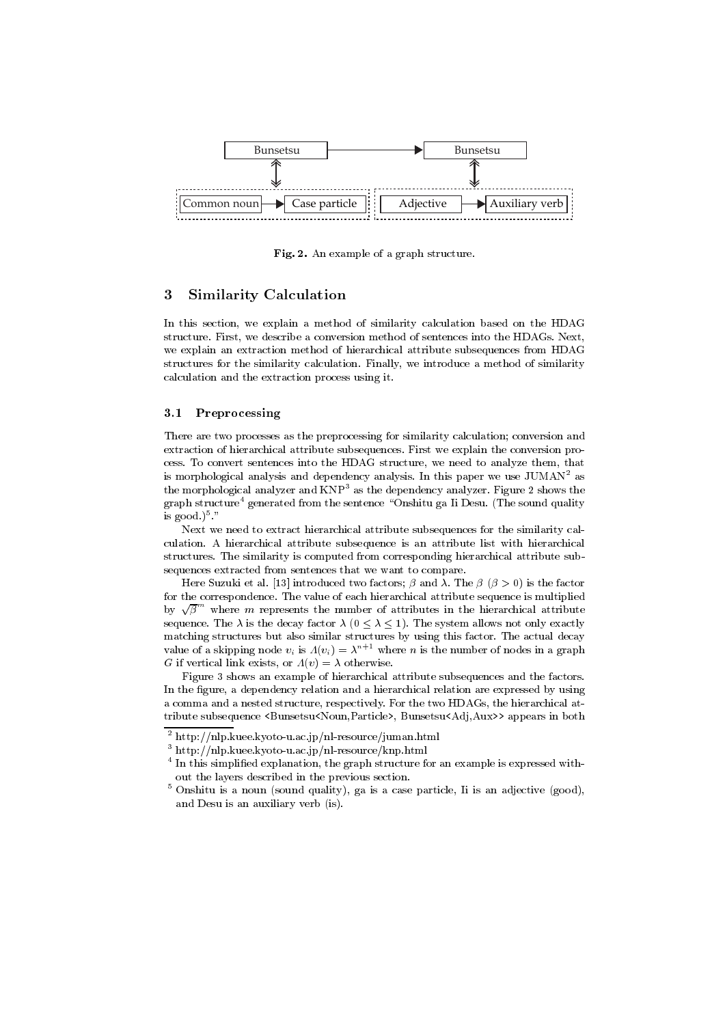

Fig. 2. An example of a graph structure.

#### **Similarity Calculation** 3

In this section, we explain a method of similarity calculation based on the HDAG structure. First, we describe a conversion method of sentences into the HDAGs. Next, we explain an extraction method of hierarchical attribute subsequences from HDAG structures for the similarity calculation. Finally, we introduce a method of similarity calculation and the extraction process using it.

#### Preprocessing  $3.1$

There are two processes as the preprocessing for similarity calculation; conversion and extraction of hierarchical attribute subsequences. First we explain the conversion process. To convert sentences into the HDAG structure, we need to analyze them, that is morphological analysis and dependency analysis. In this paper we use JUMAN<sup>2</sup> as the morphological analyzer and KNP<sup>3</sup> as the dependency analyzer. Figure 2 shows the graph structure<sup>4</sup> generated from the sentence "Onshitu ga Ii Desu. (The sound quality is good.) $5$ .

Next we need to extract hierarchical attribute subsequences for the similarity calculation. A hierarchical attribute subsequence is an attribute list with hierarchical structures. The similarity is computed from corresponding hierarchical attribute subsequences extracted from sentences that we want to compare.

Here Suzuki et al. [13] introduced two factors;  $\beta$  and  $\lambda$ . The  $\beta$  ( $\beta > 0$ ) is the factor for the correspondence. The value of each hierarchical attribute sequence is multiplied by  $\sqrt{\beta}^m$  where m represents the number of attributes in the hierarchical attribute sequence. The  $\lambda$  is the decay factor  $\lambda$  ( $0 \leq \lambda \leq 1$ ). The system allows not only exactly matching structures but also similar structures by using this factor. The actual decay value of a skipping node  $v_i$  is  $\Lambda(v_i) = \lambda^{n+1}$  where *n* is the number of nodes in a graph G if vertical link exists, or  $A(v) = \lambda$  otherwise.

Figure 3 shows an example of hierarchical attribute subsequences and the factors. In the figure, a dependency relation and a hierarchical relation are expressed by using a comma and a nested structure, respectively. For the two HDAGs, the hierarchical attribute subsequence <Bunsetsu<Noun,Particle>, Bunsetsu<Adj,Aux>> appears in both

 $^{2}$  http://nlp.kuee.kyoto-u.ac.jp/nl-resource/juman.html

 $3$  http://nlp.kuee.kyoto-u.ac.jp/nl-resource/knp.html

<sup>&</sup>lt;sup>4</sup> In this simplified explanation, the graph structure for an example is expressed without the layers described in the previous section.

<sup>&</sup>lt;sup>5</sup> Onshitu is a noun (sound quality), ga is a case particle, Ii is an adjective (good), and Desu is an auxiliary verb (is).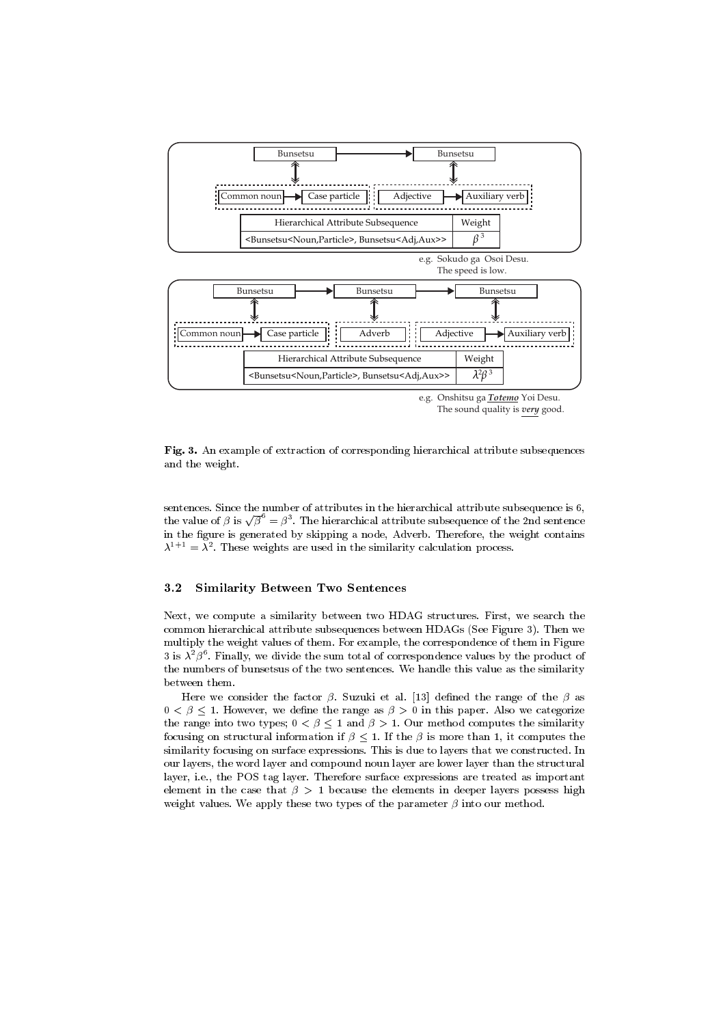

e.g. Onshitsu ga *Totemo* Yoi Desu. The sound quality is *very* good.

 $\blacksquare$  into the change of characteristic of corresponding merarchies accrite ace subsequences and the weight.

---( 0- - &- &-  - - &- &->-  the value of  $\beta$  is  $\sqrt{\beta}^{\circ} = \beta^3$ . The hierarchical attribute subsequence of the 2nd sentence in the figure is generated by skipping a node, Adverb. Therefore, the weight contains  $\lambda^{++}$  =  $\lambda^{+}$ . These weights are used in the similarity calculation process.

#### 3.2 **Similarity Between Two Sentences**

 $\alpha$ , we compute a similarity between two HDAG structures. First, we search the  $\alpha$  common nierarcnical attribute subsequences between  $HAGS$  (see Figure 3). Then we multiply the weight values of them. For example, the correspondence of them in Figure  $\beta$  is  $\lambda^+\beta^-$ . Finally, we divide the sum total of correspondence values by the product of the numbers of punsetsus of the two sentences. We hangle this value as the similarity between them.

Here we consider the factor  $\beta$ . Suzuki et al. [13] defined the range of the  $\beta$  as  $0 \leq \beta \leq 1$ . However, we define the range as  $\beta > 0$  in this paper. Also we categorize the range into two types;  $0 < \beta \leq 1$  and  $\beta > 1$ . Our method computes the similarity  $\sim$  . The contract of the contract of  $\sim$   $\mu$  , we can be provided to the contract of the computation of the contract of the contract of the contract of the contract of the contract of the contract of the contract of t  ${\rm similarity}$  focusing on surface expressions. This is que to layers that we constructed. In our layers, the word layer and compound noun layer are lower layer than the structural  $\blacksquare$  . The set of the set of the set of the set of the set of the set of the set of the set of the set of the set of the set of the set of the set of the set of the set of the set of the set of the set of the set of the  $\mathbf{F} = \mathbf{F} \mathbf{F} + \mathbf{F} \mathbf{F} + \mathbf{F} \mathbf{F} + \mathbf{F} \mathbf{F} + \mathbf{F} \mathbf{F} + \mathbf{F} \mathbf{F} + \mathbf{F} \mathbf{F} + \mathbf{F} \mathbf{F} + \mathbf{F} \mathbf{F} + \mathbf{F} \mathbf{F} + \mathbf{F} \mathbf{F} + \mathbf{F} \mathbf{F} + \mathbf{F} \mathbf{F} + \mathbf{F} \mathbf{F} + \mathbf{F} \mathbf{F} + \mathbf{F} \mathbf{F} + \mathbf{F$ weight values. We apply these two types of the parameter  $\beta$  into our method.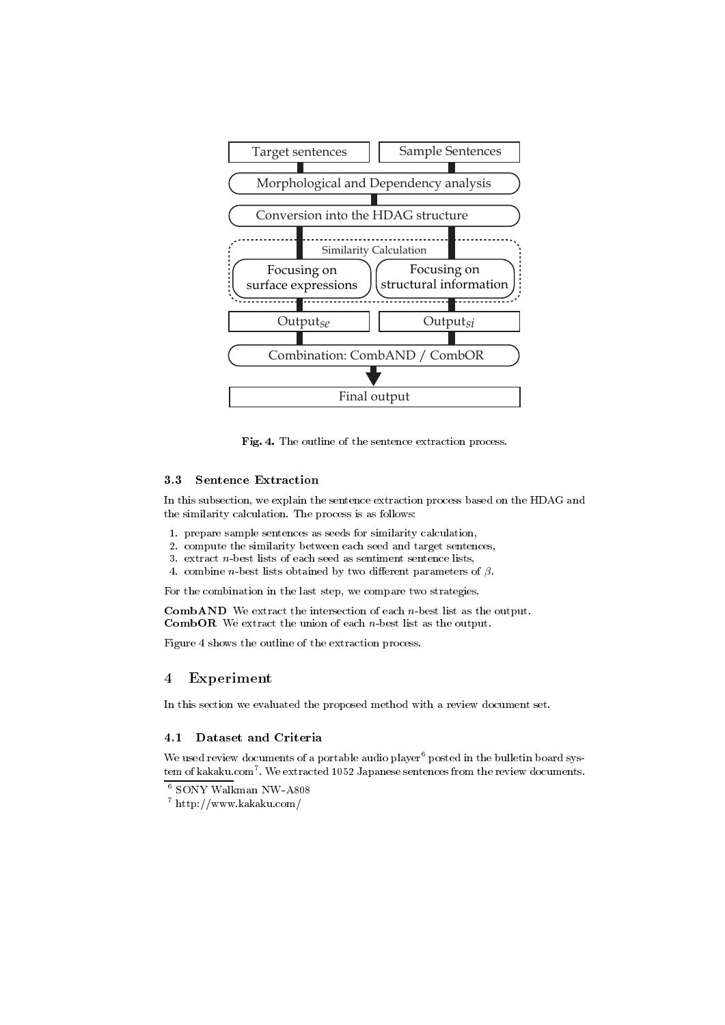

Fig. 4. The outline of the sentence extraction process.

#### **Sentence Extraction** 3.3

In this subsection, we explain the sentence extraction process based on the HDAG and the similarity calculation. The process is as follows:

- 1. prepare sample sentences as seeds for similarity calculation.
- 2. compute the similarity between each seed and target sentences,
- 3. extract  $n$ -best lists of each seed as sentiment sentence lists,
- 4. combine *n*-best lists obtained by two different parameters of  $\beta$ .

For the combination in the last step, we compare two strategies.

**CombAND** We extract the intersection of each  $n$ -best list as the output. **CombOR** We extract the union of each  $n$ -best list as the output.

Figure 4 shows the outline of the extraction process.

#### Experiment  $\overline{4}$

In this section we evaluated the proposed method with a review document set.

### 4.1 Dataset and Criteria

We used review documents of a portable audio player<sup>6</sup> posted in the bulletin board system of kakaku.com<sup>7</sup>. We extracted 1052 Japanese sentences from the review documents.

<sup>&</sup>lt;sup>6</sup> SONY Walkman NW-A808

 $7$  http://www.kakaku.com/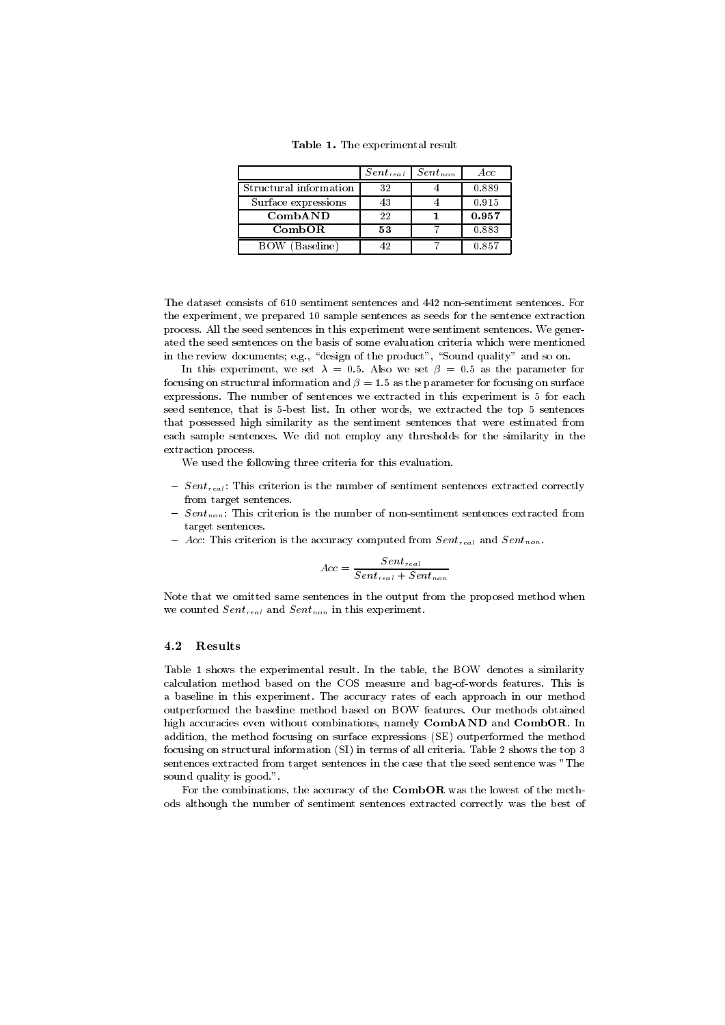Table 1. The experimental result

|                        | $Sent_{real}$ | $Sent_{non}$ | A cc  |
|------------------------|---------------|--------------|-------|
| Structural information | 32            |              | 0.889 |
| Surface expressions    | 43            |              | 0.915 |
| CombAND                | 22            |              | 0.957 |
| CombOR                 | 53            |              | 0.883 |
| BOW (Baseline)         |               |              | 0.857 |

The dataset consists of 610 sentiment sentences and 442 non-sentiment sentences. For the experiment, we prepared 10 sample sentences as seeds for the sentence extraction process. All the seed sentences in this experiment were sentiment sentences. We generated the seed sentences on the basis of some evaluation criteria which were mentioned in the review documents; e.g., "design of the product", "Sound quality" and so on.

In this experiment, we set  $\lambda = 0.5$ . Also we set  $\beta = 0.5$  as the parameter for focusing on structural information and  $\beta = 1.5$  as the parameter for focusing on surface expressions. The number of sentences we extracted in this experiment is 5 for each seed sentence, that is 5-best list. In other words, we extracted the top 5 sentences that possessed high similarity as the sentiment sentences that were estimated from each sample sentences. We did not employ any thresholds for the similarity in the extraction process.

We used the following three criteria for this evaluation.

- $Sent_{real}$ : This criterion is the number of sentiment sentences extracted correctly from target sentences.
- $Sent_{non}$ : This criterion is the number of non-sentiment sentences extracted from target sentences.
- Acc: This criterion is the accuracy computed from  $Sent_{real}$  and  $Sent_{non}$ .

$$
Acc = \frac{Sent_{real}}{Sent_{real} + Sent_{non}}
$$

Note that we omitted same sentences in the output from the proposed method when we counted  $Sent_{real}$  and  $Sent_{non}$  in this experiment.

#### ${\bf Results}$ 4.2

Table 1 shows the experimental result. In the table, the BOW denotes a similarity calculation method based on the COS measure and bag-of-words features. This is a baseline in this experiment. The accuracy rates of each approach in our method outperformed the baseline method based on BOW features. Our methods obtained high accuracies even without combinations, namely CombAND and CombOR. In addition, the method focusing on surface expressions (SE) outperformed the method focusing on structural information (SI) in terms of all criteria. Table 2 shows the top 3 sentences extracted from target sentences in the case that the seed sentence was "The sound quality is good.".

For the combinations, the accuracy of the CombOR was the lowest of the methods although the number of sentiment sentences extracted correctly was the best of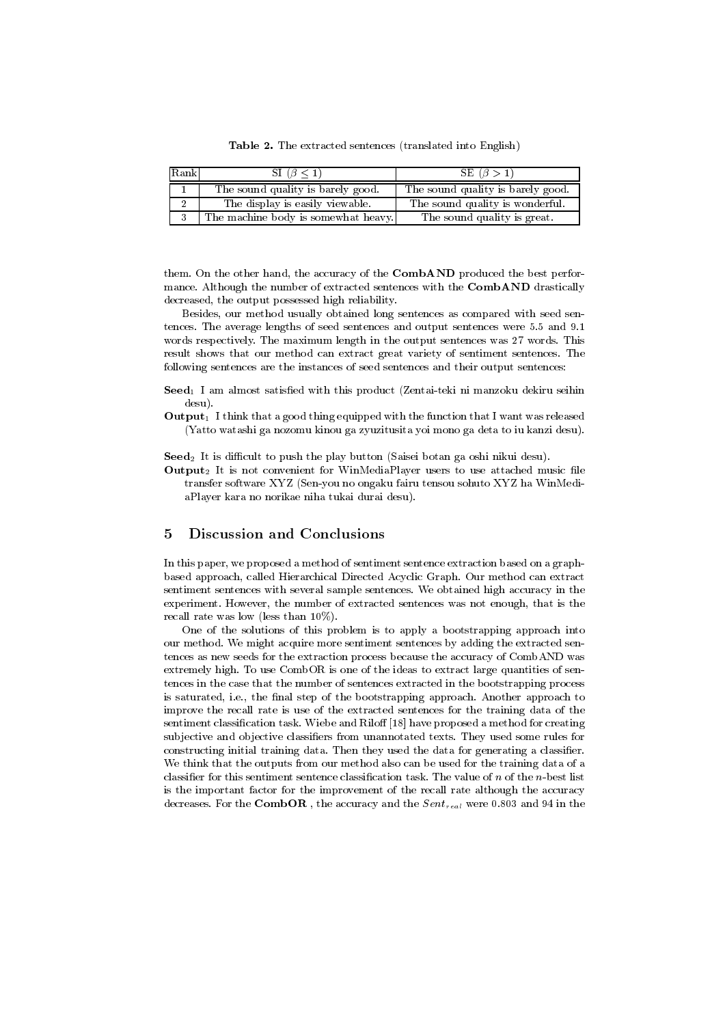Table 2. The extracted sentences (translated into English)

| Rank | SI $(\beta \leq 1)$                 | SE $(\beta > 1)$                  |
|------|-------------------------------------|-----------------------------------|
|      | The sound quality is barely good.   | The sound quality is barely good. |
|      | The display is easily viewable.     | The sound quality is wonderful.   |
|      | The machine body is somewhat heavy. | The sound quality is great.       |

them. On the other hand, the accuracy of the CombAND produced the best performance. Although the number of extracted sentences with the CombAND drastically decreased, the output possessed high reliability.

Besides, our method usually obtained long sentences as compared with seed sentences. The average lengths of seed sentences and output sentences were 5.5 and 9.1 words respectively. The maximum length in the output sentences was 27 words. This result shows that our method can extract great variety of sentiment sentences. The following sentences are the instances of seed sentences and their output sentences:

- Seed<sub>1</sub> I am almost satisfied with this product (Zentai-teki ni manzoku dekiru seihin  $desu$ ).
- **Output**<sub>1</sub> I think that a good thing equipped with the function that I want was released (Yatto watashi ga nozomu kinou ga zyuzitusita yoi mono ga deta to iu kanzi desu).

 $\textbf{Seed}_2$  It is difficult to push the play button (Saisei botan ga oshi nikui desu).

**Output**<sub>2</sub> It is not convenient for WinMediaPlayer users to use attached music file transfer software XYZ (Sen-you no ongaku fairu tensou sohuto XYZ ha WinMediaPlayer kara no norikae niha tukai durai desu).

#### 5 **Discussion and Conclusions**

In this paper, we proposed a method of sentiment sentence extraction based on a graphbased approach, called Hierarchical Directed Acyclic Graph. Our method can extract sentiment sentences with several sample sentences. We obtained high accuracy in the experiment. However, the number of extracted sentences was not enough, that is the recall rate was low (less than  $10\%$ ).

One of the solutions of this problem is to apply a bootstrapping approach into our method. We might acquire more sentiment sentences by adding the extracted sentences as new seeds for the extraction process because the accuracy of CombAND was extremely high. To use CombOR is one of the ideas to extract large quantities of sentences in the case that the number of sentences extracted in the bootstrapping process is saturated, i.e., the final step of the bootstrapping approach. Another approach to improve the recall rate is use of the extracted sentences for the training data of the sentiment classification task. Wiebe and Riloff [18] have proposed a method for creating subjective and objective classifiers from unannotated texts. They used some rules for constructing initial training data. Then they used the data for generating a classifier. We think that the outputs from our method also can be used for the training data of a classifier for this sentiment sentence classification task. The value of  $n$  of the  $n$ -best list is the important factor for the improvement of the recall rate although the accuracy decreases. For the  $\textbf{CombOR}$ , the accuracy and the  $Sent_{real}$  were 0.803 and 94 in the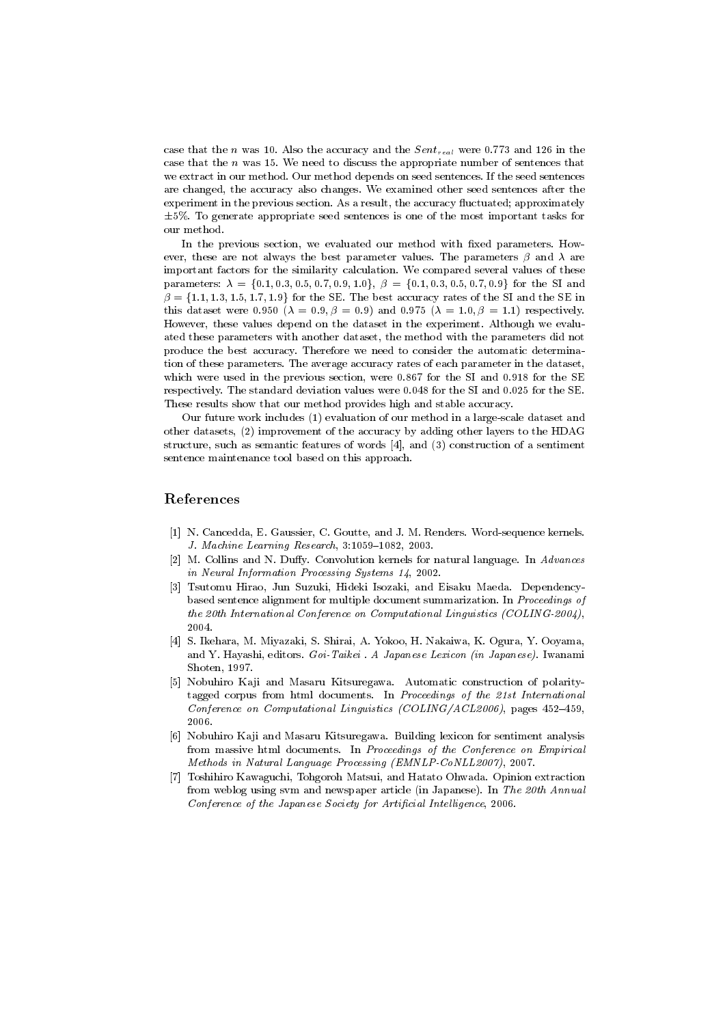case that the n was 10. Also the accuracy and the  $Sent_{real}$  were 0.773 and 126 in the case that the  $n$  was 15. We need to discuss the appropriate number of sentences that we extract in our method. Our method depends on seed sentences. If the seed sentences are changed, the accuracy also changes. We examined other seed sentences after the experiment in the previous section. As a result, the accuracy fluctuated; approximately  $\pm 5\%$ . To generate appropriate seed sentences is one of the most important tasks for our method.

In the previous section, we evaluated our method with fixed parameters. However, these are not always the best parameter values. The parameters  $\beta$  and  $\lambda$  are important factors for the similarity calculation. We compared several values of these parameters:  $\lambda = \{0.1, 0.3, 0.5, 0.7, 0.9, 1.0\}, \beta = \{0.1, 0.3, 0.5, 0.7, 0.9\}$  for the SI and  $\beta = \{1.1, 1.3, 1.5, 1.7, 1.9\}$  for the SE. The best accuracy rates of the SI and the SE in this dataset were 0.950 ( $\lambda = 0.9, \beta = 0.9$ ) and 0.975 ( $\lambda = 1.0, \beta = 1.1$ ) respectively. However, these values depend on the dataset in the experiment. Although we evaluated these parameters with another dataset, the method with the parameters did not produce the best accuracy. Therefore we need to consider the automatic determination of these parameters. The average accuracy rates of each parameter in the dataset, which were used in the previous section, were 0.867 for the SI and 0.918 for the SE respectively. The standard deviation values were 0.048 for the SI and 0.025 for the SE. These results show that our method provides high and stable accuracy.

Our future work includes (1) evaluation of our method in a large-scale dataset and other datasets, (2) improvement of the accuracy by adding other layers to the HDAG structure, such as semantic features of words [4], and (3) construction of a sentiment sentence maintenance tool based on this approach.

## References

- [1] N. Cancedda, E. Gaussier, C. Goutte, and J. M. Renders. Word-sequence kernels. J. Machine Learning Research, 3:1059-1082, 2003.
- $\lceil 2 \rceil$ M. Collins and N. Duffy. Convolution kernels for natural language. In Advances in Neural Information Processing Systems 14, 2002.
- Tsutomu Hirao, Jun Suzuki, Hideki Isozaki, and Eisaku Maeda. Dependencybased sentence alignment for multiple document summarization. In Proceedings of the 20th International Conference on Computational Linguistics (COLING-2004), 2004.
- [4] S. Ikehara, M. Miyazaki, S. Shirai, A. Yokoo, H. Nakaiwa, K. Ogura, Y. Ooyama, and Y. Hayashi, editors. Goi-Taikei. A Japanese Lexicon (in Japanese). Iwanami Shoten, 1997.
- Nobuhiro Kaji and Masaru Kitsuregawa. Automatic construction of polarity- $\lceil 5 \rceil$ tagged corpus from html documents. In Proceedings of the 21st International Conference on Computational Linguistics (COLING/ACL2006), pages 452-459, 2006
- [6] Nobuhiro Kaji and Masaru Kitsuregawa. Building lexicon for sentiment analysis from massive html documents. In Proceedings of the Conference on Empirical Methods in Natural Language Processing (EMNLP-CoNLL2007), 2007.
- Toshihiro Kawaguchi, Tohgoroh Matsui, and Hatato Ohwada. Opinion extraction  $[7]$ from weblog using svm and newspaper article (in Japanese). In The 20th Annual Conference of the Japanese Society for Artificial Intelligence, 2006.